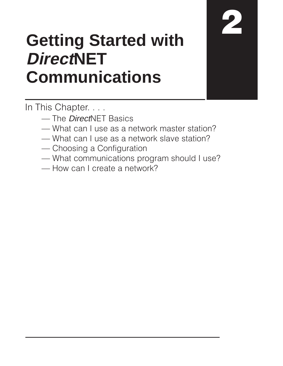# **Getting Started with DirectNET Communications**

In This Chapter...

- The *Direct*NET Basics
- What can I use as a network master station?
- What can I use as a network slave station?
- Choosing a Configuration
- What communications program should I use?
- -How can I create a network?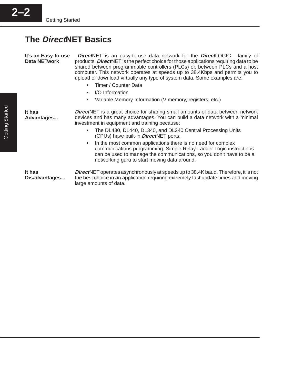# **The DirectNET Basics**

**It's an Easy-to-use Data NETwork**

**It has**

**Direct**NET is an easy-to-use data network for the **DirectLOGIC**™ family of products. **Direct**NET is the perfect choice for those applications requiring data to be shared between programmable controllers (PLCs) or, between PLCs and a host computer. This network operates at speeds up to 38.4Kbps and permits you to upload or download virtually any type of system data. Some examples are:<br>
Times and the solution of the solution of the system data. Some examples are:

- Timer / Counter Data Ĩ
- I/O Information
- $\bullet$ Variable Memory Information (V memory, registers, etc.)

**Direct**NET is a great choice for sharing small amounts of data between network devices and has many advantages. You can build a data network with a minimal investment in equipment and training because: **Advantages...**

- The DL430, DL440, DL340, and DL240 Central Processing Units (CPUs) have built-in **Direct**NET ports.
- $\bullet$  In the most common applications there is no need for complex communications programming. Simple Relay Ladder Logic instructions can be used to manage the communications, so you don't have to be a networking guru to start moving data around.

**It has Disadvantages...**

**Direct**NET operates asynchronously at speeds up to 38.4K baud. Therefore, it is not the best choice in an application requiring extremely fast update times and moving large amounts of data.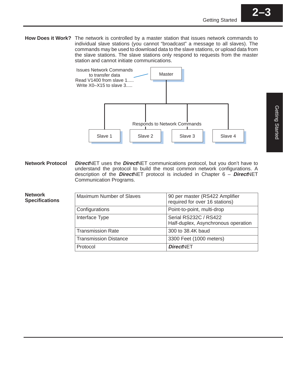How Does it Work? The network is controlled by a master station that issues network commands to individual slave stations (you cannot "broadcast" a message to all slaves). The commands may be used to download data to the slave stations, or upload data from the slave stations. The slave stations only respond to requests from the master station and cannot initiate communications.



**Direct**NET uses the **Direct**NET communications protocol, but you don't have to understand the protocol to build the most common network configurations. A description of the **Direct**NET protocol is included in Chapter 6 – **Direct**NET Communication Programs. **Network Protocol**

**Network Specifications**

| <b>Maximum Number of Slaves</b> | 90 per master (RS422 Amplifier<br>required for over 16 stations) |
|---------------------------------|------------------------------------------------------------------|
| Configurations                  | Point-to-point, multi-drop                                       |
| Interface Type                  | Serial RS232C / RS422<br>Half-duplex, Asynchronous operation     |
| <b>Transmission Rate</b>        | 300 to 38.4K baud                                                |
| <b>Transmission Distance</b>    | 3300 Feet (1000 meters)                                          |
| Protocol                        | <b>DirectNET</b>                                                 |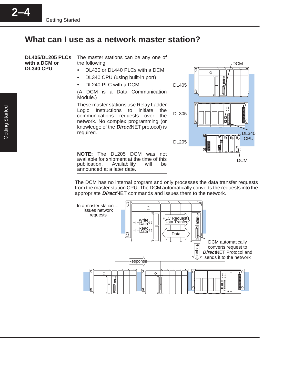## **What can I use as a network master station?**

The master stations can be any one of the following: • DL430 or DL440 PLCs with a DCM **DL405/DL205 PLCs with a DCM or DL340 CPU**

- $\bullet$ DL340 CPU (using built-in port)
- $\bullet$ DL240 PLC with a DCM

(A DCM is a Data Communication Module.)

These master stations use Relay Ladder Logic Instructions to initiate the communications requests over the network. No complex programming (or knowledge of the **Direct**NET protocol) is required.

**NOTE:** The DL205 DCM was not available for shipment at the time of this publication. Availability will be announced at a later date.



The DCM has no internal program and only processes the data transfer requests from the master station CPU. The DCM automatically converts the requests into the appropriate **Direct**NET commands and issues them to the network.

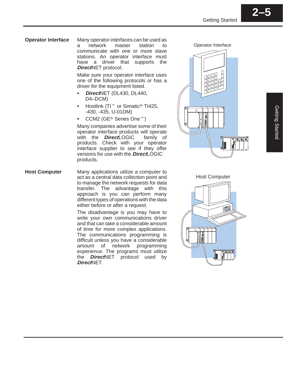Many operator interfaces can be used as a network master station to communicate with one or more slave stations. An operator interface must have a driver that supports the **Direct**NET protocol. **Operator Interface**

> Make sure your operator interface uses one of the following protocols or has a driver for the equipment listed.

- **Direct**NET (DL430, DL440, D4–DCM)
- $\bullet$ • Hostlink (TI™ or Simatic® TI425, -430, -435, U-01DM)
- CCM2 (GE® Series One™)

Many companies advertise some of their operator interface products will operate with the **Direct**LOGIC<sup>™</sup> family of products. Check with your operator interface supplier to see if they offer versions for use with the **Direct**LOGIC<sup>™</sup> products.

Many applications utilize a computer to act as a central data collection point and to manage the network requests for data transfer. The advantage with this approach is you can perform many different types of operations with the data either before or after a request. **Host Computer**

> The disadvantage is you may have to write your own communications driver and that can take a considerable amount of time for more complex applications. The communications programming is difficult unless you have a considerable amount of network programming experience. The programs must utilize the **Direct**NET protocol used by **Direct**NET.

Operator Interface



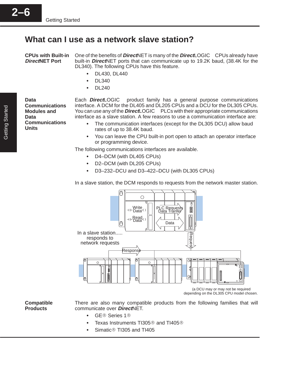## **What can I use as a network slave station?**

One of the benefits of *Direct*NET is many of the *Direct*LOGIC<sup>™</sup> CPUs already have built-in **Direct**NET ports that can communicate up to 19.2K baud, (38.4K for the DL340). The following CPUs have this feature. **CPUs with Built-in DirectNET Port**

- DL430, DL440
- $\bullet$ DL340
- $\bullet$ DL240

**Data Communications Modules and Data Communications Units**

Each **Direct**LOGIC<sup>™</sup> product family has a general purpose communications interface. A DCM for the DL405 and DL205 CPUs and a DCU for the DL305 CPUs. You can use any of the **Direct**LOGIC<sup>™</sup> PLCs with their appropriate communications interface as a slave station. A few reasons to use a communication interface are:

- The communication interfaces (except for the DL305 DCU) allow baud rates of up to 38.4K baud.
- $\bullet$  You can leave the CPU built-in port open to attach an operator interface or programming device.

The following communications interfaces are available.

- D4–DCM (with DL405 CPUs)
- $\bullet$ D2–DCM (with DL205 CPUs)
- $\bullet$ D3–232–DCU and D3–422–DCU (with DL305 CPUs)

In a slave station, the DCM responds to requests from the network master station.



**Compatible Products**

There are also many compatible products from the following families that will communicate over **Direct**NET.

- $\bullet$ GE<sup>®</sup> Series 1<sup>®</sup> Ī
- Texas Instruments TI305<sup>®</sup> and TI405<sup>®</sup>
- $\bullet$ Simatic $\textcircled{\tiny{\textcirc}}$  TI305 and TI405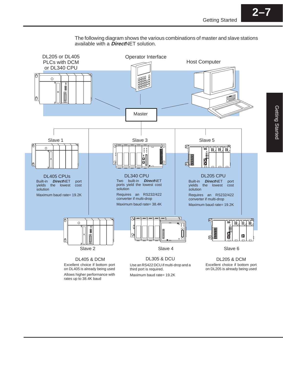**2–7**



The following diagram shows the various combinations of master and slave stations available with a **Direct**NET solution.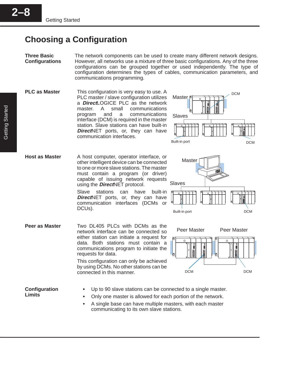**2–8**

# **Choosing a Configuration**

The network components can be used to create many different network designs. However, all networks use a mixture of three basic configurations. Any of the three configurations can be grouped together or used independently. The type of configuration determines the types of cables, communication parameters, and communications programming. **Three Basic Configurations**

Master

This configuration is very easy to use. A PLC master / slave configuration utilizes a **Direct**LOGICE PLC as the network master. A small communications program and a communications interface (DCM) is required in the master station. Slave stations can have built-in **DirectNET** ports, or, they can have communication interfaces. **PLC as Master**



DCM

Two DL405 PLCs with DCMs as the network interface can be connected so either station can initiate a request for data. Both stations must contain a communications program to initiate the requests for data. **Peer as Master**

DCUs).

This configuration can only be achieved by using DCMs. No other stations can be connected in this manner.

A host computer, operator interface, or other intelligent device can be connected to one or more slave stations. The master must contain a program (or driver) capable of issuing network requests

**DirectNET** ports, or, they can have communication interfaces (DCMs or

using the **Direct**NET protocol.



**Configuration Limits**

**Host as Master**

- Up to 90 slave stations can be connected to a single master.
- Only one master is allowed for each portion of the network.
	- A single base can have multiple masters, with each master communicating to its own slave stations.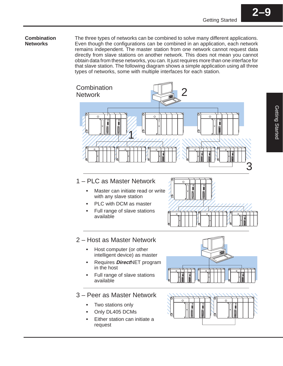#### **Combination Networks**

The three types of networks can be combined to solve many different applications. Even though the configurations can be combined in an application, each network remains independent. The master station from one network cannot request data directly from slave stations on another network. This does not mean you cannot obtain data from these networks, you can. It just requires more than one interface for that slave station. The following diagram shows a simple application using all three types of networks, some with multiple interfaces for each station.



## 1 – PLC as Master Network

- Master can initiate read or write with any slave station
- PLC with DCM as master
- Full range of slave stations available



### 2 – Host as Master Network

- Host computer (or other intelligent device) as master
- Requires **Direct**NET program in the host
- Full range of slave stations available

#### 3 – Peer as Master Network

- $\bullet$ Two stations only
- Only DL405 DCMs
- Either station can initiate a request



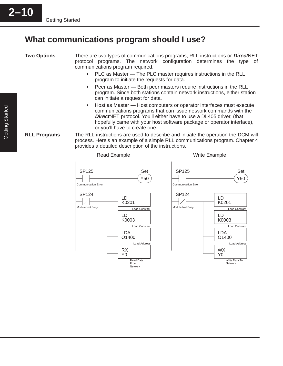# **What communications program should I use?**

**Two Options**

There are two types of communications programs, RLL instructions or **Direct**NET protocol programs. The network configuration determines the type of communications program required.

- PLC as Master The PLC master requires instructions in the RLL program to initiate the requests for data.
- $\bullet$  Peer as Master — Both peer masters require instructions in the RLL program. Since both stations contain network instructions, either station can initiate a request for data.
- $\bullet$  Host as Master — Host computers or operator interfaces must execute communications programs that can issue network commands with the **Direct**NET protocol. You'll either have to use a DL405 driver, (that hopefully came with your host software package or operator interface), or you'll have to create one.
- The RLL instructions are used to describe and initiate the operation the DCM will process. Here's an example of a simple RLL communications program. Chapter 4 provides a detailed description of the instructions. **RLL Programs**

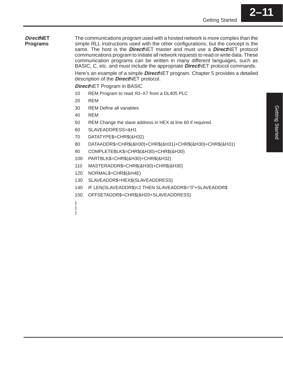#### **DirectNET Programs**

The communications program used with a hosted network is more complex than the simple RLL instructions used with the other configurations, but the concept is the same. The host is the **Direct**NET master and must use a **Direct**NET protocol communications program to initiate all network requests to read or write data. These communication programs can be written in many different languages, such as BASIC, C, etc. and must include the appropriate **Direct**NET protocol commands. Here's an example of a simple **Direct**NET program. Chapter 5 provides a detailed

description of the **Direct**NET protocol.

**Direct**NET Program in BASIC

- 10 REM Program to read X0–X7 from a DL405 PLC
- 20 REM
- 30 REM Define all variables
- 40 REM
- 50 REM Change the slave address in HEX at line 60 if required.
- 60 SLAVEADDRESS=&H1
- 70 DATATYPE\$=CHR\$(&H32)
- 80 DATAADDR\$=CHR\$(&H30)+CHR\$(&H31)+CHR\$(&H30)+CHR\$(&H31)
- 90 COMPLETEBLK\$=CHR\$(&H30)+CHR\$(&H30)
- 100 PARTBLK\$=CHR\$(&H30)+CHR\$(&H32)
- 110 MASTERADDR\$=CHR\$(&H30)+CHR\$(&H30)
- 120 NORMAL\$=CHR\$(&H4E)
- 130 SLAVEADDR\$=HEX\$(SLAVEADDRESS)
- 140 IF LEN(SLAVEADDR\$)<2 THEN SLAVEADDR\$="0"+SLAVEADDR\$
- 150 OFFSETADDR\$=CHR\$(&H20+SLAVEADDRESS)